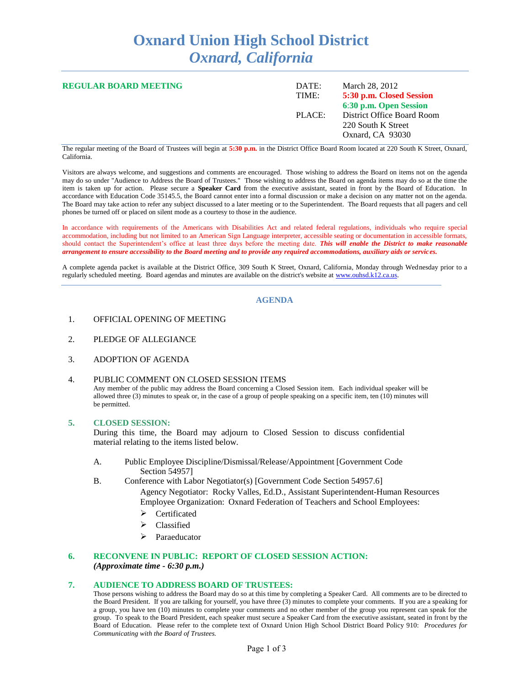# **Oxnard Union High School District** *Oxnard, California*

| <b>REGULAR BOARD MEETING</b> | DATE:<br>TIME: | March 28, 2012<br>5:30 p.m. Closed Session<br>6:30 p.m. Open Session |
|------------------------------|----------------|----------------------------------------------------------------------|
|                              | PLACE:         | District Office Board Room<br>220 South K Street<br>Oxnard, CA 93030 |

The regular meeting of the Board of Trustees will begin at **5:30 p.m.** in the District Office Board Room located at 220 South K Street, Oxnard, California.

Visitors are always welcome, and suggestions and comments are encouraged. Those wishing to address the Board on items not on the agenda may do so under "Audience to Address the Board of Trustees." Those wishing to address the Board on agenda items may do so at the time the item is taken up for action. Please secure a **Speaker Card** from the executive assistant, seated in front by the Board of Education. In accordance with Education Code 35145.5, the Board cannot enter into a formal discussion or make a decision on any matter not on the agenda. The Board may take action to refer any subject discussed to a later meeting or to the Superintendent. The Board requests that all pagers and cell phones be turned off or placed on silent mode as a courtesy to those in the audience.

In accordance with requirements of the Americans with Disabilities Act and related federal regulations, individuals who require special accommodation, including but not limited to an American Sign Language interpreter, accessible seating or documentation in accessible formats, should contact the Superintendent's office at least three days before the meeting date. *This will enable the District to make reasonable arrangement to ensure accessibility to the Board meeting and to provide any required accommodations, auxiliary aids or services.*

A complete agenda packet is available at the District Office, 309 South K Street, Oxnard, California, Monday through Wednesday prior to a regularly scheduled meeting. Board agendas and minutes are available on the district's website at [www.ouhsd.k12.ca.us.](http://www.ouhsd.k12.ca.us/)

## **AGENDA**

- 1. OFFICIAL OPENING OF MEETING
- 2. PLEDGE OF ALLEGIANCE
- 3. ADOPTION OF AGENDA

### 4. PUBLIC COMMENT ON CLOSED SESSION ITEMS

Any member of the public may address the Board concerning a Closed Session item. Each individual speaker will be allowed three (3) minutes to speak or, in the case of a group of people speaking on a specific item, ten (10) minutes will be permitted.

#### **5. CLOSED SESSION:**

During this time, the Board may adjourn to Closed Session to discuss confidential material relating to the items listed below.

- A. Public Employee Discipline/Dismissal/Release/Appointment [Government Code Section 54957]
- B. Conference with Labor Negotiator(s) [Government Code Section 54957.6] Agency Negotiator: Rocky Valles, Ed.D., Assistant Superintendent-Human Resources Employee Organization: Oxnard Federation of Teachers and School Employees:
	- Certificated
	- Classified
	- > Paraeducator

## **6. RECONVENE IN PUBLIC: REPORT OF CLOSED SESSION ACTION:** *(Approximate time - 6:30 p.m.)*

#### **7. AUDIENCE TO ADDRESS BOARD OF TRUSTEES:**

Those persons wishing to address the Board may do so at this time by completing a Speaker Card. All comments are to be directed to the Board President. If you are talking for yourself, you have three (3) minutes to complete your comments. If you are a speaking for a group, you have ten (10) minutes to complete your comments and no other member of the group you represent can speak for the group. To speak to the Board President, each speaker must secure a Speaker Card from the executive assistant, seated in front by the Board of Education. Please refer to the complete text of Oxnard Union High School District Board Policy 910: *Procedures for Communicating with the Board of Trustees.*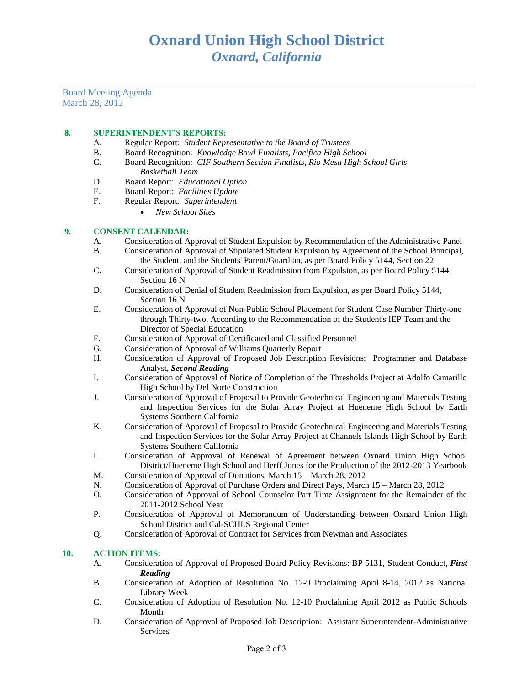Board Meeting Agenda March 28, 2012

# **8. SUPERINTENDENT'S REPORTS:**

- A. Regular Report: *Student Representative to the Board of Trustees*
- B. Board Recognition: *Knowledge Bowl Finalists, Pacifica High School*
- C. Board Recognition: *CIF Southern Section Finalists, Rio Mesa High School Girls Basketball Team*
- D. Board Report: *Educational Option*
- E. Board Report: *Facilities Update*
- F. Regular Report: *Superintendent*
	- *New School Sites*

# **9. CONSENT CALENDAR:**

- A. Consideration of Approval of Student Expulsion by Recommendation of the Administrative Panel
- B. Consideration of Approval of Stipulated Student Expulsion by Agreement of the School Principal, the Student, and the Students' Parent/Guardian, as per Board Policy 5144, Section 22
- C. Consideration of Approval of Student Readmission from Expulsion, as per Board Policy 5144, Section 16 N
- D. Consideration of Denial of Student Readmission from Expulsion, as per Board Policy 5144, Section 16 N
- E. Consideration of Approval of Non-Public School Placement for Student Case Number Thirty-one through Thirty-two, According to the Recommendation of the Student's IEP Team and the Director of Special Education
- F. Consideration of Approval of Certificated and Classified Personnel
- G. Consideration of Approval of Williams Quarterly Report
- H. Consideration of Approval of Proposed Job Description Revisions: Programmer and Database Analyst, *Second Reading*
- I. Consideration of Approval of Notice of Completion of the Thresholds Project at Adolfo Camarillo High School by Del Norte Construction
- J. Consideration of Approval of Proposal to Provide Geotechnical Engineering and Materials Testing and Inspection Services for the Solar Array Project at Hueneme High School by Earth Systems Southern California
- K. Consideration of Approval of Proposal to Provide Geotechnical Engineering and Materials Testing and Inspection Services for the Solar Array Project at Channels Islands High School by Earth Systems Southern California
- L. Consideration of Approval of Renewal of Agreement between Oxnard Union High School District/Hueneme High School and Herff Jones for the Production of the 2012-2013 Yearbook
- M. Consideration of Approval of Donations, March 15 March 28, 2012
- N. Consideration of Approval of Purchase Orders and Direct Pays, March 15 March 28, 2012
- O. Consideration of Approval of School Counselor Part Time Assignment for the Remainder of the 2011-2012 School Year
- P. Consideration of Approval of Memorandum of Understanding between Oxnard Union High School District and Cal-SCHLS Regional Center
- Q. Consideration of Approval of Contract for Services from Newman and Associates

## **10. ACTION ITEMS:**

- A. Consideration of Approval of Proposed Board Policy Revisions: BP 5131, Student Conduct, *First Reading*
- B. Consideration of Adoption of Resolution No. 12-9 Proclaiming April 8-14, 2012 as National Library Week
- C. Consideration of Adoption of Resolution No. 12-10 Proclaiming April 2012 as Public Schools Month
- D. Consideration of Approval of Proposed Job Description: Assistant Superintendent-Administrative Services